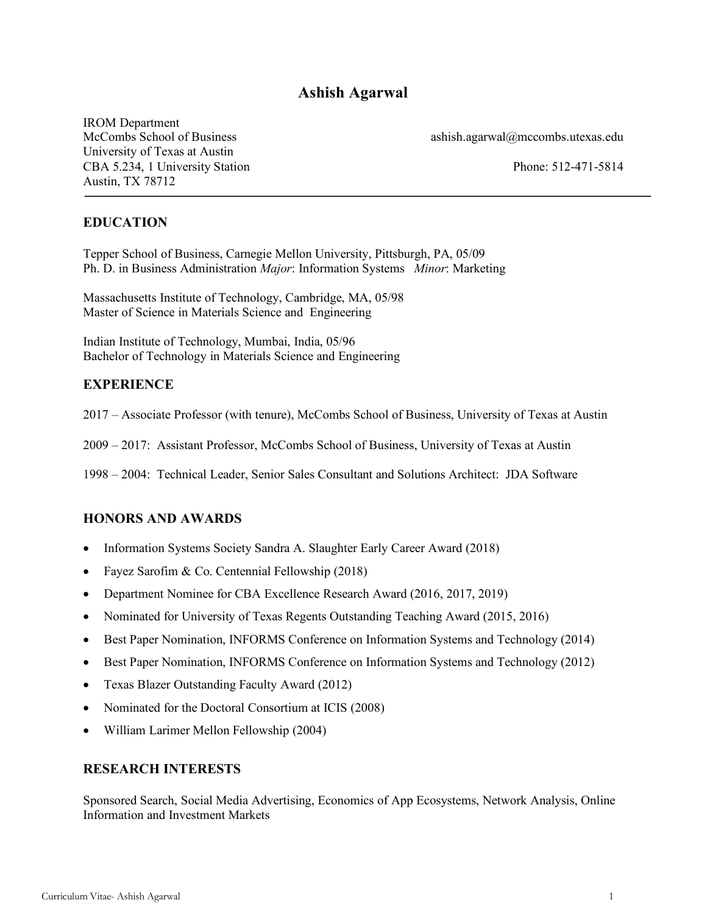# **Ashish Agarwal**

IROM Department University of Texas at Austin CBA 5.234, 1 University Station Phone: 512-471-5814 Austin, TX 78712

McCombs School of Business ashish.agarwal@mccombs.utexas.edu

## **EDUCATION**

Tepper School of Business, Carnegie Mellon University, Pittsburgh, PA, 05/09 Ph. D. in Business Administration *Major*: Information Systems *Minor*: Marketing

Massachusetts Institute of Technology, Cambridge, MA, 05/98 Master of Science in Materials Science and Engineering

Indian Institute of Technology, Mumbai, India, 05/96 Bachelor of Technology in Materials Science and Engineering

## **EXPERIENCE**

2017 – Associate Professor (with tenure), McCombs School of Business, University of Texas at Austin

2009 – 2017: Assistant Professor, McCombs School of Business, University of Texas at Austin

1998 – 2004: Technical Leader, Senior Sales Consultant and Solutions Architect: JDA Software

## **HONORS AND AWARDS**

- Information Systems Society Sandra A. Slaughter Early Career Award (2018)
- Fayez Sarofim & Co. Centennial Fellowship (2018)
- Department Nominee for CBA Excellence Research Award (2016, 2017, 2019)
- Nominated for University of Texas Regents Outstanding Teaching Award (2015, 2016)
- Best Paper Nomination, INFORMS Conference on Information Systems and Technology (2014)
- Best Paper Nomination, INFORMS Conference on Information Systems and Technology (2012)
- Texas Blazer Outstanding Faculty Award (2012)
- Nominated for the Doctoral Consortium at ICIS (2008)
- William Larimer Mellon Fellowship (2004)

#### **RESEARCH INTERESTS**

Sponsored Search, Social Media Advertising, Economics of App Ecosystems, Network Analysis, Online Information and Investment Markets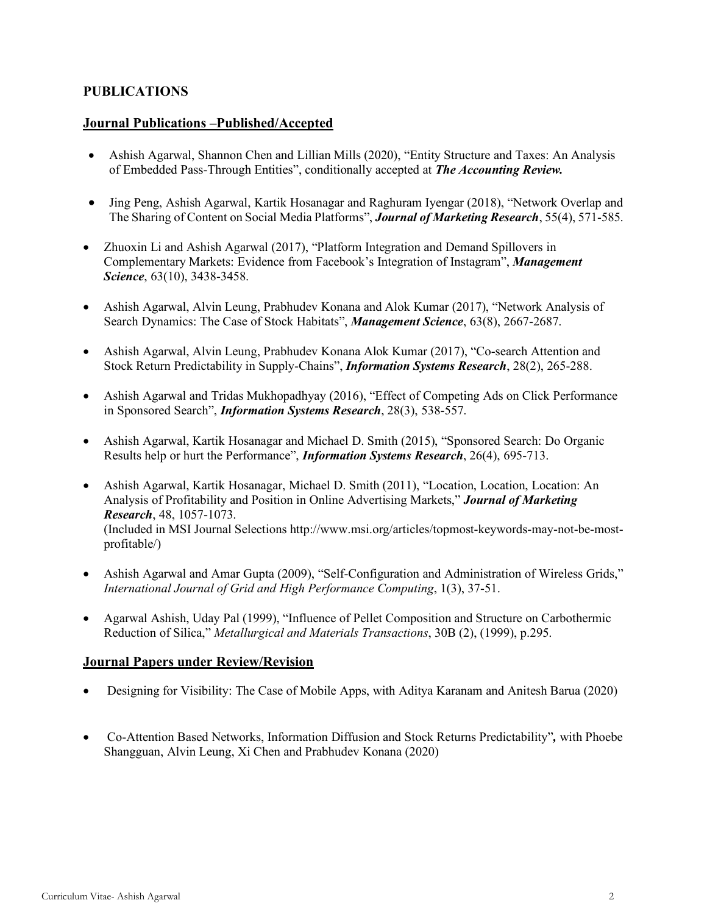## **PUBLICATIONS**

### **Journal Publications –Published/Accepted**

- Ashish Agarwal, Shannon Chen and Lillian Mills (2020), "Entity Structure and Taxes: An Analysis of Embedded Pass-Through Entities", conditionally accepted at *The Accounting Review.*
- Jing Peng, Ashish Agarwal, Kartik Hosanagar and Raghuram Iyengar (2018), "Network Overlap and The Sharing of Content on Social Media Platforms", *Journal of Marketing Research*, 55(4), 571-585.
- Zhuoxin Li and Ashish Agarwal (2017), "Platform Integration and Demand Spillovers in Complementary Markets: Evidence from Facebook's Integration of Instagram", *Management Science*, 63(10), 3438-3458.
- Ashish Agarwal, Alvin Leung, Prabhudev Konana and Alok Kumar (2017), "Network Analysis of Search Dynamics: The Case of Stock Habitats", *Management Science*, 63(8), 2667-2687.
- Ashish Agarwal, Alvin Leung, Prabhudev Konana Alok Kumar (2017), "Co-search Attention and Stock Return Predictability in Supply-Chains", *Information Systems Research*, 28(2), 265-288.
- Ashish Agarwal and Tridas Mukhopadhyay (2016), "Effect of Competing Ads on Click Performance in Sponsored Search", *Information Systems Research*, 28(3), 538-557.
- Ashish Agarwal, Kartik Hosanagar and Michael D. Smith (2015), "Sponsored Search: Do Organic Results help or hurt the Performance", *Information Systems Research*, 26(4), 695-713.
- Ashish Agarwal, Kartik Hosanagar, Michael D. Smith (2011), "Location, Location, Location: An Analysis of Profitability and Position in Online Advertising Markets," *Journal of Marketing Research*, 48, 1057-1073. (Included in MSI Journal Selections http://www.msi.org/articles/topmost-keywords-may-not-be-mostprofitable/)
- Ashish Agarwal and Amar Gupta (2009), "Self-Configuration and Administration of Wireless Grids," *International Journal of Grid and High Performance Computing*, 1(3), 37-51.
- Agarwal Ashish, Uday Pal (1999), "Influence of Pellet Composition and Structure on Carbothermic Reduction of Silica," *Metallurgical and Materials Transactions*, 30B (2), (1999), p.295.

## **Journal Papers under Review/Revision**

- Designing for Visibility: The Case of Mobile Apps, with Aditya Karanam and Anitesh Barua (2020)
- Co-Attention Based Networks, Information Diffusion and Stock Returns Predictability"*,* with Phoebe Shangguan, Alvin Leung, Xi Chen and Prabhudev Konana (2020)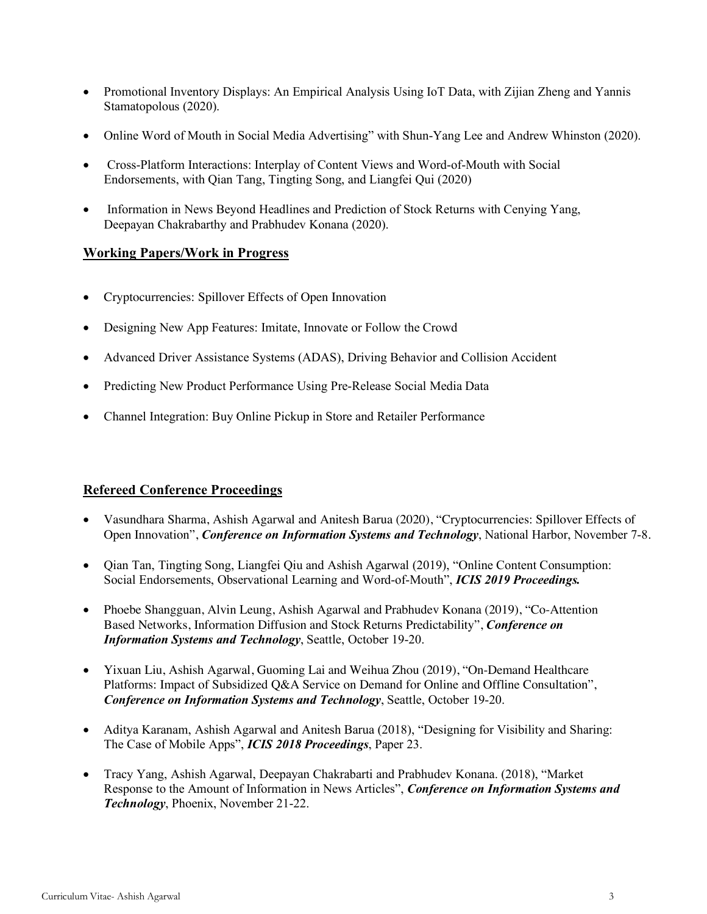- Promotional Inventory Displays: An Empirical Analysis Using IoT Data, with Zijian Zheng and Yannis Stamatopolous (2020).
- Online Word of Mouth in Social Media Advertising" with Shun-Yang Lee and Andrew Whinston (2020).
- Cross-Platform Interactions: Interplay of Content Views and Word-of-Mouth with Social Endorsements, with Qian Tang, Tingting Song, and Liangfei Qui (2020)
- Information in News Beyond Headlines and Prediction of Stock Returns with Cenying Yang, Deepayan Chakrabarthy and Prabhudev Konana (2020).

### **Working Papers/Work in Progress**

- Cryptocurrencies: Spillover Effects of Open Innovation
- Designing New App Features: Imitate, Innovate or Follow the Crowd
- Advanced Driver Assistance Systems (ADAS), Driving Behavior and Collision Accident
- Predicting New Product Performance Using Pre-Release Social Media Data
- Channel Integration: Buy Online Pickup in Store and Retailer Performance

## **Refereed Conference Proceedings**

- Vasundhara Sharma, Ashish Agarwal and Anitesh Barua (2020), "Cryptocurrencies: Spillover Effects of Open Innovation", *Conference on Information Systems and Technology*, National Harbor, November 7-8.
- Qian Tan, Tingting Song, Liangfei Qiu and Ashish Agarwal (2019), "Online Content Consumption: Social Endorsements, Observational Learning and Word-of-Mouth", *ICIS 2019 Proceedings.*
- Phoebe Shangguan, Alvin Leung, Ashish Agarwal and Prabhudev Konana (2019), "Co-Attention Based Networks, Information Diffusion and Stock Returns Predictability", *Conference on Information Systems and Technology*, Seattle, October 19-20.
- Yixuan Liu, Ashish Agarwal, Guoming Lai and Weihua Zhou (2019), "On-Demand Healthcare Platforms: Impact of Subsidized Q&A Service on Demand for Online and Offline Consultation", *Conference on Information Systems and Technology*, Seattle, October 19-20.
- Aditya Karanam, Ashish Agarwal and Anitesh Barua (2018), "Designing for Visibility and Sharing: The Case of Mobile Apps", *ICIS 2018 Proceedings*, Paper 23.
- Tracy Yang, Ashish Agarwal, Deepayan Chakrabarti and Prabhudev Konana. (2018), "Market Response to the Amount of Information in News Articles", *Conference on Information Systems and Technology*, Phoenix, November 21-22.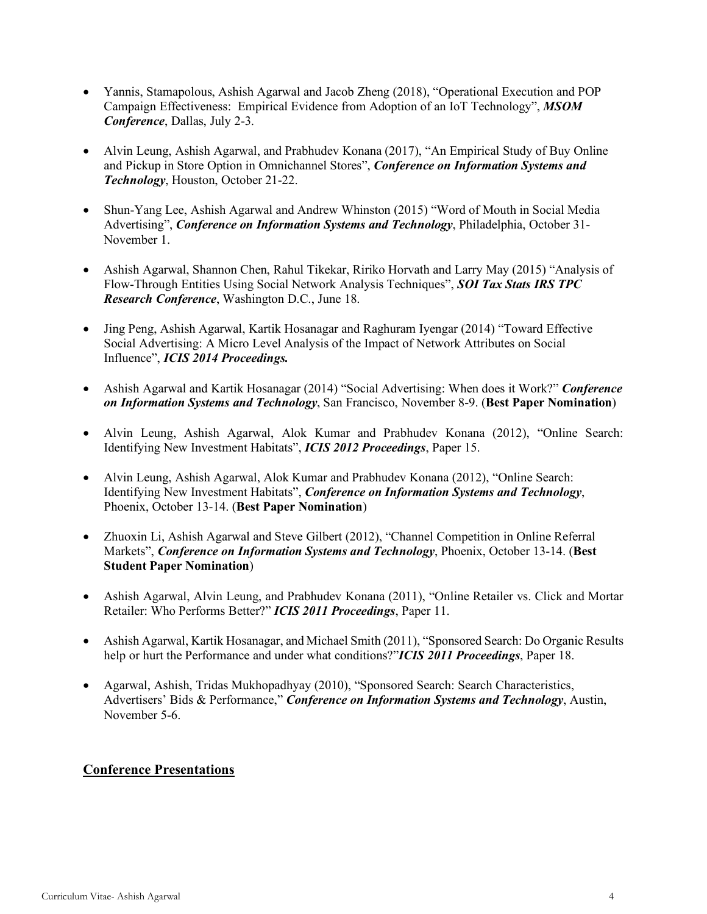- Yannis, Stamapolous, Ashish Agarwal and Jacob Zheng (2018), "Operational Execution and POP Campaign Effectiveness: Empirical Evidence from Adoption of an IoT Technology", *MSOM Conference*, Dallas, July 2-3.
- Alvin Leung, Ashish Agarwal, and Prabhudev Konana (2017), "An Empirical Study of Buy Online and Pickup in Store Option in Omnichannel Stores", *Conference on Information Systems and Technology*, Houston, October 21-22.
- Shun-Yang Lee, Ashish Agarwal and Andrew Whinston (2015) "Word of Mouth in Social Media Advertising", *Conference on Information Systems and Technology*, Philadelphia, October 31- November 1.
- Ashish Agarwal, Shannon Chen, Rahul Tikekar, Ririko Horvath and Larry May (2015) "Analysis of Flow-Through Entities Using Social Network Analysis Techniques", *SOI Tax Stats IRS TPC Research Conference*, Washington D.C., June 18.
- Jing Peng, Ashish Agarwal, Kartik Hosanagar and Raghuram Iyengar (2014) "Toward Effective Social Advertising: A Micro Level Analysis of the Impact of Network Attributes on Social Influence", *ICIS 2014 Proceedings.*
- Ashish Agarwal and Kartik Hosanagar (2014) "Social Advertising: When does it Work?" *Conference on Information Systems and Technology*, San Francisco, November 8-9. (**Best Paper Nomination**)
- Alvin Leung, Ashish Agarwal, Alok Kumar and Prabhudev Konana (2012), "Online Search: Identifying New Investment Habitats", *ICIS 2012 Proceedings*, Paper 15.
- Alvin Leung, Ashish Agarwal, Alok Kumar and Prabhudev Konana (2012), "Online Search: Identifying New Investment Habitats", *Conference on Information Systems and Technology*, Phoenix, October 13-14. (**Best Paper Nomination**)
- Zhuoxin Li, Ashish Agarwal and Steve Gilbert (2012), "Channel Competition in Online Referral Markets", *Conference on Information Systems and Technology*, Phoenix, October 13-14. (**Best Student Paper Nomination**)
- Ashish Agarwal, Alvin Leung, and Prabhudev Konana (2011), "Online Retailer vs. Click and Mortar Retailer: Who Performs Better?" *ICIS 2011 Proceedings*, Paper 11.
- Ashish Agarwal, Kartik Hosanagar, and Michael Smith (2011), "Sponsored Search: Do Organic Results help or hurt the Performance and under what conditions?"*ICIS 2011 Proceedings*, Paper 18.
- Agarwal, Ashish, Tridas Mukhopadhyay (2010), "Sponsored Search: Search Characteristics, Advertisers' Bids & Performance," *Conference on Information Systems and Technology*, Austin, November 5-6.

## **Conference Presentations**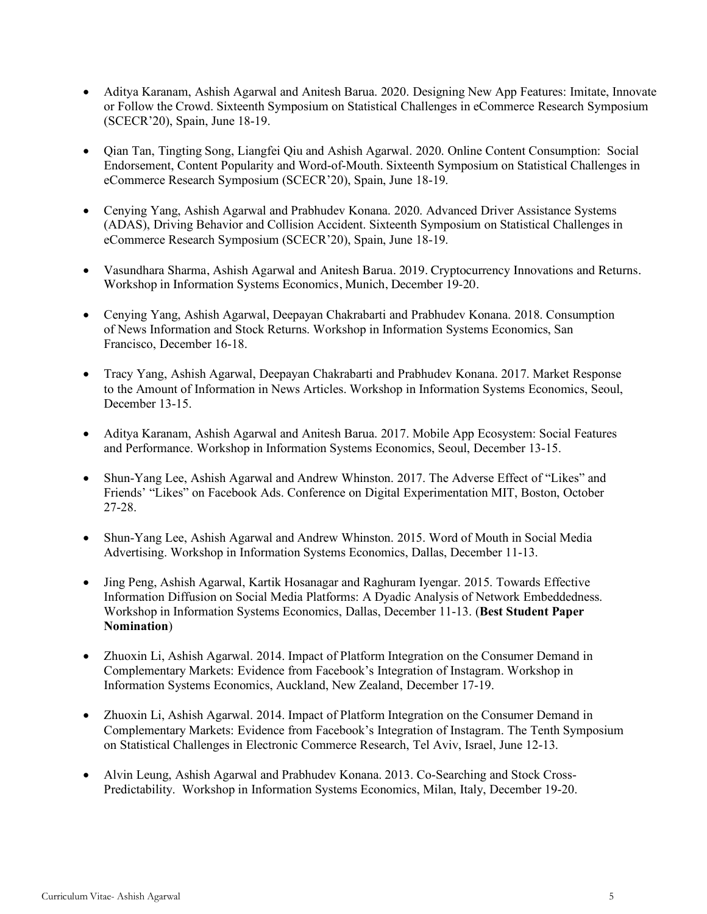- Aditya Karanam, Ashish Agarwal and Anitesh Barua. 2020. Designing New App Features: Imitate, Innovate or Follow the Crowd. Sixteenth Symposium on Statistical Challenges in eCommerce Research Symposium (SCECR'20), Spain, June 18-19.
- Qian Tan, Tingting Song, Liangfei Qiu and Ashish Agarwal. 2020. Online Content Consumption: Social Endorsement, Content Popularity and Word-of-Mouth. Sixteenth Symposium on Statistical Challenges in eCommerce Research Symposium (SCECR'20), Spain, June 18-19.
- Cenying Yang, Ashish Agarwal and Prabhudev Konana. 2020. Advanced Driver Assistance Systems (ADAS), Driving Behavior and Collision Accident. Sixteenth Symposium on Statistical Challenges in eCommerce Research Symposium (SCECR'20), Spain, June 18-19.
- Vasundhara Sharma, Ashish Agarwal and Anitesh Barua. 2019. Cryptocurrency Innovations and Returns. Workshop in Information Systems Economics, Munich, December 19-20.
- Cenying Yang, Ashish Agarwal, Deepayan Chakrabarti and Prabhudev Konana. 2018. Consumption of News Information and Stock Returns. Workshop in Information Systems Economics, San Francisco, December 16-18.
- Tracy Yang, Ashish Agarwal, Deepayan Chakrabarti and Prabhudev Konana. 2017. Market Response to the Amount of Information in News Articles. Workshop in Information Systems Economics, Seoul, December 13-15
- Aditya Karanam, Ashish Agarwal and Anitesh Barua. 2017. Mobile App Ecosystem: Social Features and Performance. Workshop in Information Systems Economics, Seoul, December 13-15.
- Shun-Yang Lee, Ashish Agarwal and Andrew Whinston. 2017. The Adverse Effect of "Likes" and Friends' "Likes" on Facebook Ads. Conference on Digital Experimentation MIT, Boston, October 27-28.
- Shun-Yang Lee, Ashish Agarwal and Andrew Whinston. 2015. Word of Mouth in Social Media Advertising. Workshop in Information Systems Economics, Dallas, December 11-13.
- Jing Peng, Ashish Agarwal, Kartik Hosanagar and Raghuram Iyengar. 2015. Towards Effective Information Diffusion on Social Media Platforms: A Dyadic Analysis of Network Embeddedness. Workshop in Information Systems Economics, Dallas, December 11-13. (**Best Student Paper Nomination**)
- Zhuoxin Li, Ashish Agarwal. 2014. Impact of Platform Integration on the Consumer Demand in Complementary Markets: Evidence from Facebook's Integration of Instagram. Workshop in Information Systems Economics, Auckland, New Zealand, December 17-19.
- Zhuoxin Li, Ashish Agarwal. 2014. Impact of Platform Integration on the Consumer Demand in Complementary Markets: Evidence from Facebook's Integration of Instagram. The Tenth Symposium on Statistical Challenges in Electronic Commerce Research, Tel Aviv, Israel, June 12-13.
- Alvin Leung, Ashish Agarwal and Prabhudev Konana. 2013. Co-Searching and Stock Cross-Predictability. Workshop in Information Systems Economics, Milan, Italy, December 19-20.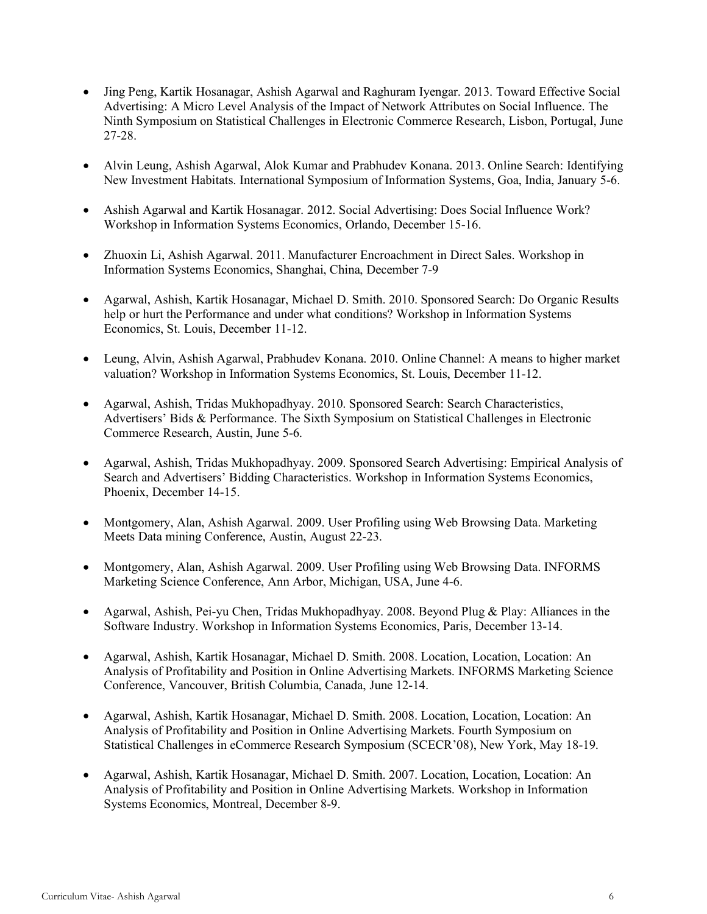- Jing Peng, Kartik Hosanagar, Ashish Agarwal and Raghuram Iyengar. 2013. Toward Effective Social Advertising: A Micro Level Analysis of the Impact of Network Attributes on Social Influence. The Ninth Symposium on Statistical Challenges in Electronic Commerce Research, Lisbon, Portugal, June 27-28.
- Alvin Leung, Ashish Agarwal, Alok Kumar and Prabhudev Konana. 2013. Online Search: Identifying New Investment Habitats. International Symposium of Information Systems, Goa, India, January 5-6.
- Ashish Agarwal and Kartik Hosanagar. 2012. Social Advertising: Does Social Influence Work? Workshop in Information Systems Economics, Orlando, December 15-16.
- Zhuoxin Li, Ashish Agarwal. 2011. Manufacturer Encroachment in Direct Sales. Workshop in Information Systems Economics, Shanghai, China, December 7-9
- Agarwal, Ashish, Kartik Hosanagar, Michael D. Smith. 2010. Sponsored Search: Do Organic Results help or hurt the Performance and under what conditions? Workshop in Information Systems Economics, St. Louis, December 11-12.
- Leung, Alvin, Ashish Agarwal, Prabhudev Konana. 2010. Online Channel: A means to higher market valuation? Workshop in Information Systems Economics, St. Louis, December 11-12.
- Agarwal, Ashish, Tridas Mukhopadhyay. 2010. Sponsored Search: Search Characteristics, Advertisers' Bids & Performance. The Sixth Symposium on Statistical Challenges in Electronic Commerce Research, Austin, June 5-6.
- Agarwal, Ashish, Tridas Mukhopadhyay. 2009. Sponsored Search Advertising: Empirical Analysis of Search and Advertisers' Bidding Characteristics. Workshop in Information Systems Economics, Phoenix, December 14-15.
- Montgomery, Alan, Ashish Agarwal. 2009. User Profiling using Web Browsing Data. Marketing Meets Data mining Conference, Austin, August 22-23.
- Montgomery, Alan, Ashish Agarwal. 2009. User Profiling using Web Browsing Data. INFORMS Marketing Science Conference, Ann Arbor, Michigan, USA, June 4-6.
- Agarwal, Ashish, Pei-yu Chen, Tridas Mukhopadhyay. 2008. Beyond Plug & Play: Alliances in the Software Industry. Workshop in Information Systems Economics, Paris, December 13-14.
- Agarwal, Ashish, Kartik Hosanagar, Michael D. Smith. 2008. Location, Location, Location: An Analysis of Profitability and Position in Online Advertising Markets. INFORMS Marketing Science Conference, Vancouver, British Columbia, Canada, June 12-14.
- Agarwal, Ashish, Kartik Hosanagar, Michael D. Smith. 2008. Location, Location, Location: An Analysis of Profitability and Position in Online Advertising Markets. Fourth Symposium on Statistical Challenges in eCommerce Research Symposium (SCECR'08), New York, May 18-19.
- Agarwal, Ashish, Kartik Hosanagar, Michael D. Smith. 2007. Location, Location, Location: An Analysis of Profitability and Position in Online Advertising Markets. Workshop in Information Systems Economics, Montreal, December 8-9.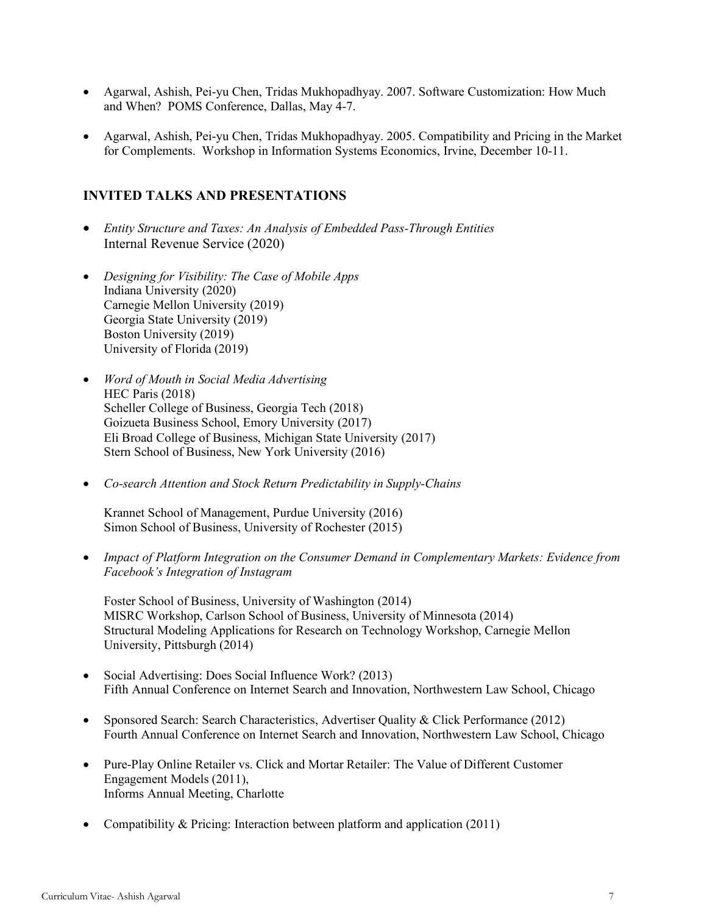- Agarwal, Ashish, Pei-yu Chen, Tridas Mukhopadhyay. 2007. Software Customization: How Much and When? POMS Conference, Dallas, May 4-7.
- Agarwal, Ashish, Pei-yu Chen, Tridas Mukhopadhyay. 2005. Compatibility and Pricing in the Market for Complements. Workshop in Information Systems Economics, Irvine, December 10-11.

## **INVITED TALKS AND PRESENTATIONS**

- *Entity Structure and Taxes: An Analysis of Embedded Pass-Through Entities* Internal Revenue Service (2020)
- *Designing for Visibility: The Case of Mobile Apps* Indiana University (2020) Carnegie Mellon University (2019) Georgia State University (2019) Boston University (2019) University of Florida (2019)
- *Word of Mouth in Social Media Advertising* HEC Paris (2018) Scheller College of Business, Georgia Tech (2018) Goizueta Business School, Emory University (2017) Eli Broad College of Business, Michigan State University (2017) Stern School of Business, New York University (2016)
- *Co-search Attention and Stock Return Predictability in Supply-Chains*

Krannet School of Management, Purdue University (2016) Simon School of Business, University of Rochester (2015)

• *Impact of Platform Integration on the Consumer Demand in Complementary Markets: Evidence from Facebook's Integration of Instagram* 

 Foster School of Business, University of Washington (2014) MISRC Workshop, Carlson School of Business, University of Minnesota (2014) Structural Modeling Applications for Research on Technology Workshop, Carnegie Mellon University, Pittsburgh (2014)

- Social Advertising: Does Social Influence Work? (2013) Fifth Annual Conference on Internet Search and Innovation, Northwestern Law School, Chicago
- Sponsored Search: Search Characteristics, Advertiser Quality & Click Performance (2012) Fourth Annual Conference on Internet Search and Innovation, Northwestern Law School, Chicago
- Pure-Play Online Retailer vs. Click and Mortar Retailer: The Value of Different Customer Engagement Models (2011), Informs Annual Meeting, Charlotte
- Compatibility & Pricing: Interaction between platform and application (2011)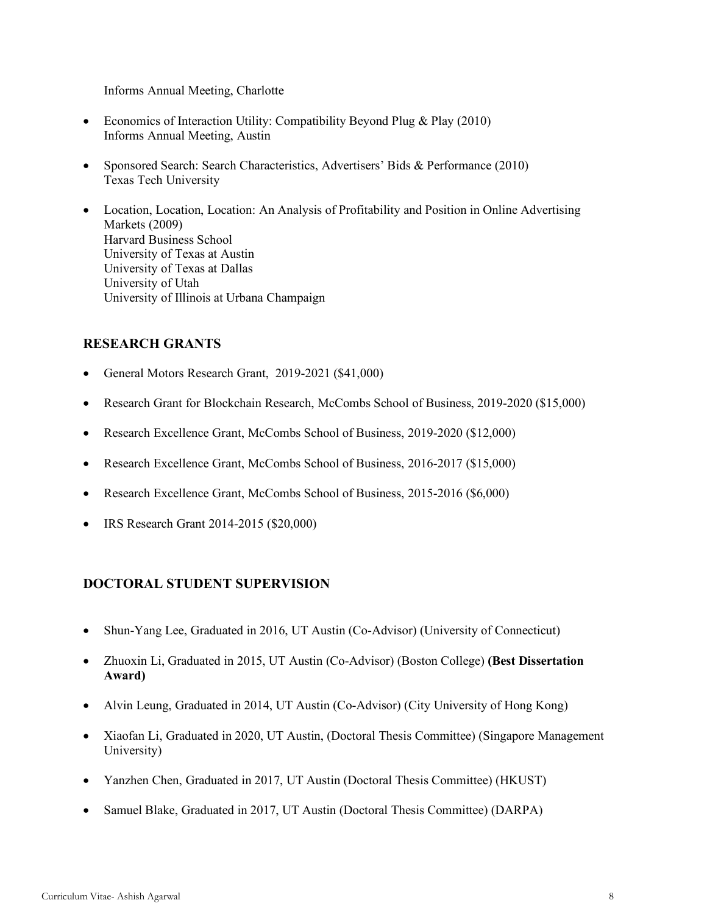Informs Annual Meeting, Charlotte

- Economics of Interaction Utility: Compatibility Beyond Plug & Play (2010) Informs Annual Meeting, Austin
- Sponsored Search: Search Characteristics, Advertisers' Bids & Performance (2010) Texas Tech University
- Location, Location, Location: An Analysis of Profitability and Position in Online Advertising Markets (2009) Harvard Business School University of Texas at Austin University of Texas at Dallas University of Utah University of Illinois at Urbana Champaign

## **RESEARCH GRANTS**

- General Motors Research Grant, 2019-2021 (\$41,000)
- Research Grant for Blockchain Research, McCombs School of Business, 2019-2020 (\$15,000)
- Research Excellence Grant, McCombs School of Business, 2019-2020 (\$12,000)
- Research Excellence Grant, McCombs School of Business, 2016-2017 (\$15,000)
- Research Excellence Grant, McCombs School of Business, 2015-2016 (\$6,000)
- IRS Research Grant 2014-2015 (\$20,000)

## **DOCTORAL STUDENT SUPERVISION**

- Shun-Yang Lee, Graduated in 2016, UT Austin (Co-Advisor) (University of Connecticut)
- Zhuoxin Li, Graduated in 2015, UT Austin (Co-Advisor) (Boston College) **(Best Dissertation Award)**
- Alvin Leung, Graduated in 2014, UT Austin (Co-Advisor) (City University of Hong Kong)
- Xiaofan Li, Graduated in 2020, UT Austin, (Doctoral Thesis Committee) (Singapore Management University)
- Yanzhen Chen, Graduated in 2017, UT Austin (Doctoral Thesis Committee) (HKUST)
- Samuel Blake, Graduated in 2017, UT Austin (Doctoral Thesis Committee) (DARPA)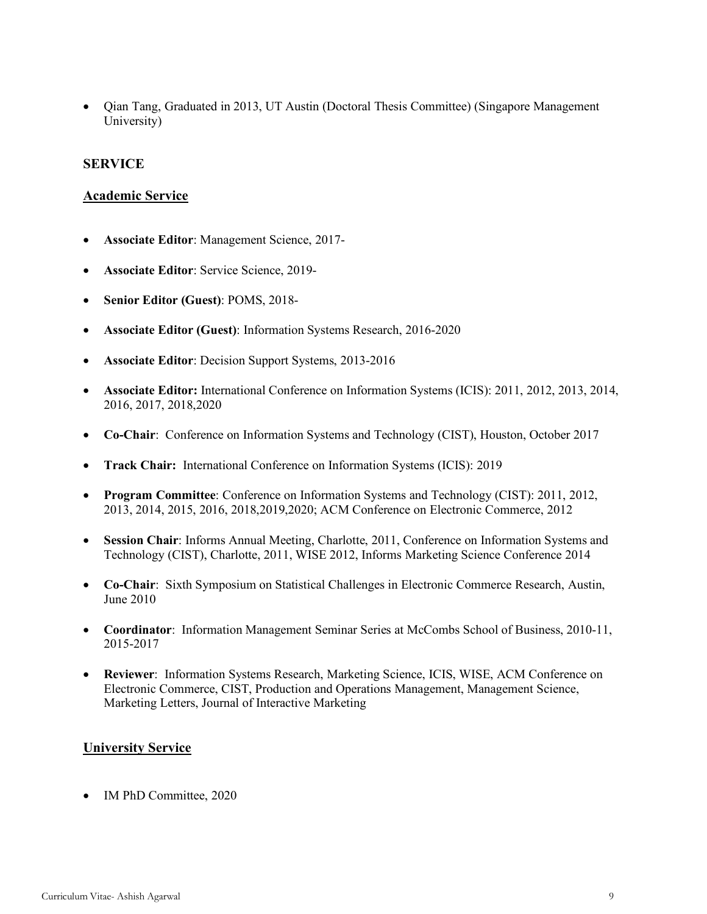• Qian Tang, Graduated in 2013, UT Austin (Doctoral Thesis Committee) (Singapore Management University)

### **SERVICE**

#### **Academic Service**

- **Associate Editor**: Management Science, 2017-
- **Associate Editor**: Service Science, 2019-
- **Senior Editor (Guest)**: POMS, 2018-
- **Associate Editor (Guest)**: Information Systems Research, 2016-2020
- **Associate Editor**: Decision Support Systems, 2013-2016
- **Associate Editor:** International Conference on Information Systems (ICIS): 2011, 2012, 2013, 2014, 2016, 2017, 2018,2020
- **Co-Chair**: Conference on Information Systems and Technology (CIST), Houston, October 2017
- **Track Chair:** International Conference on Information Systems (ICIS): 2019
- **Program Committee**: Conference on Information Systems and Technology (CIST): 2011, 2012, 2013, 2014, 2015, 2016, 2018,2019,2020; ACM Conference on Electronic Commerce, 2012
- **Session Chair**: Informs Annual Meeting, Charlotte, 2011, Conference on Information Systems and Technology (CIST), Charlotte, 2011, WISE 2012, Informs Marketing Science Conference 2014
- **Co-Chair**: Sixth Symposium on Statistical Challenges in Electronic Commerce Research, Austin, June 2010
- **Coordinator**: Information Management Seminar Series at McCombs School of Business, 2010-11, 2015-2017
- **Reviewer**: Information Systems Research, Marketing Science, ICIS, WISE, ACM Conference on Electronic Commerce, CIST, Production and Operations Management, Management Science, Marketing Letters, Journal of Interactive Marketing

#### **University Service**

• IM PhD Committee, 2020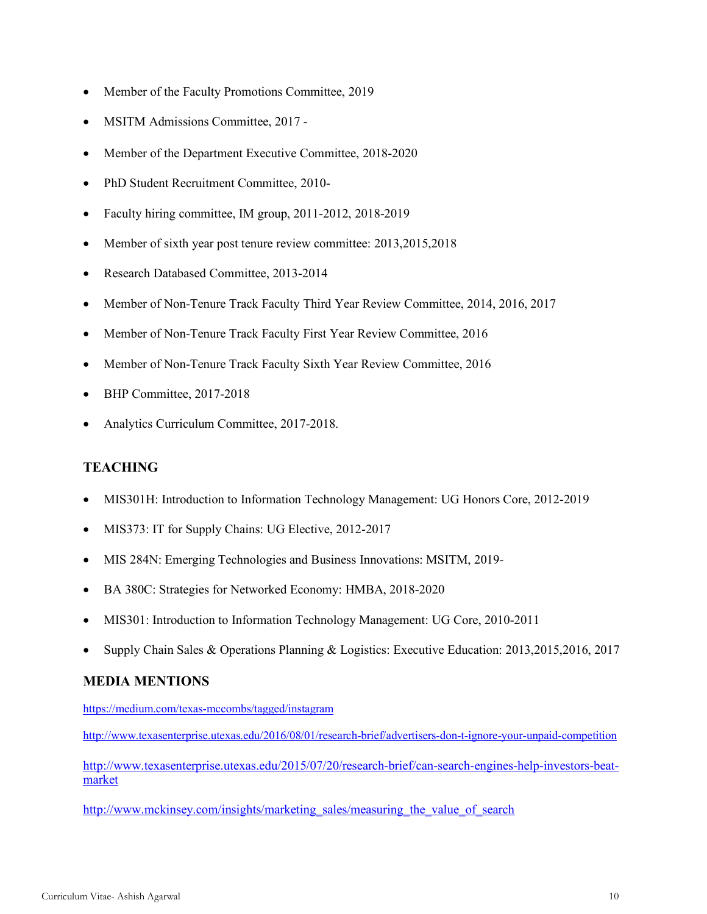- Member of the Faculty Promotions Committee, 2019
- MSITM Admissions Committee, 2017 -
- Member of the Department Executive Committee, 2018-2020
- PhD Student Recruitment Committee, 2010-
- Faculty hiring committee, IM group, 2011-2012, 2018-2019
- Member of sixth year post tenure review committee: 2013,2015,2018
- Research Databased Committee, 2013-2014
- Member of Non-Tenure Track Faculty Third Year Review Committee, 2014, 2016, 2017
- Member of Non-Tenure Track Faculty First Year Review Committee, 2016
- Member of Non-Tenure Track Faculty Sixth Year Review Committee, 2016
- BHP Committee, 2017-2018
- Analytics Curriculum Committee, 2017-2018.

## **TEACHING**

- MIS301H: Introduction to Information Technology Management: UG Honors Core, 2012-2019
- MIS373: IT for Supply Chains: UG Elective, 2012-2017
- MIS 284N: Emerging Technologies and Business Innovations: MSITM, 2019-
- BA 380C: Strategies for Networked Economy: HMBA, 2018-2020
- MIS301: Introduction to Information Technology Management: UG Core, 2010-2011
- Supply Chain Sales & Operations Planning & Logistics: Executive Education: 2013,2015,2016, 2017

## **MEDIA MENTIONS**

https://medium.com/texas-mccombs/tagged/instagram

http://www.texasenterprise.utexas.edu/2016/08/01/research-brief/advertisers-don-t-ignore-your-unpaid-competition

http://www.texasenterprise.utexas.edu/2015/07/20/research-brief/can-search-engines-help-investors-beatmarket

http://www.mckinsey.com/insights/marketing\_sales/measuring\_the\_value\_of\_search